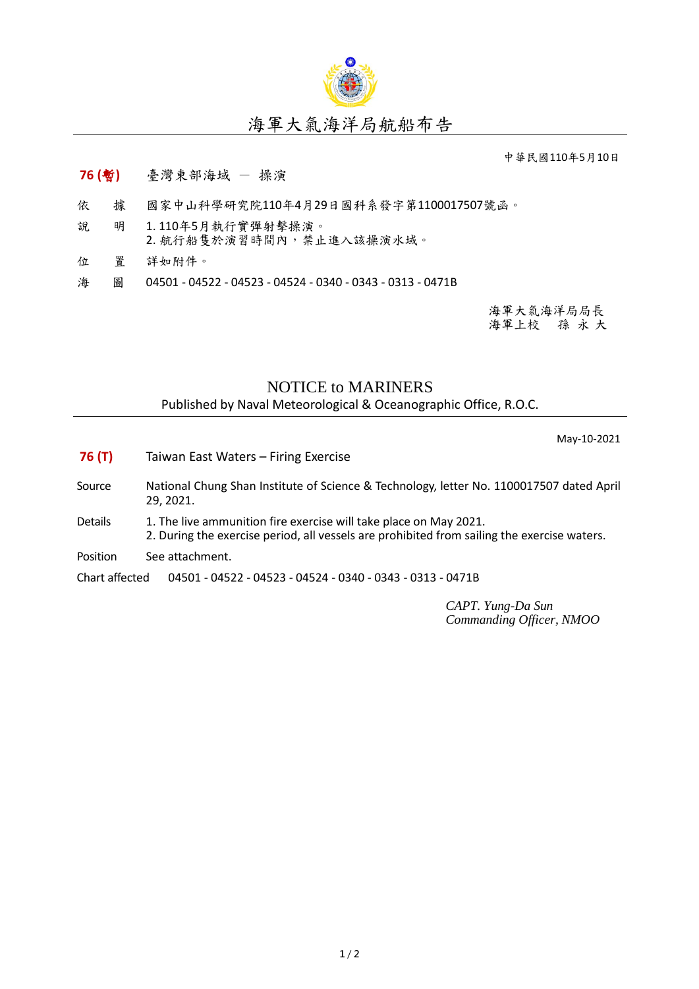

## 海軍大氣海洋局航船布告

中華民國110年5月10日

## **76 (**暫**)** 臺灣東部海域 - 操演

- 依 據 國家中山科學研究院110年4月29日國科系發字第1100017507號函。
- 說 明 1. 110年5月執行實彈射擊操演。 2. 航行船隻於演習時間內,禁止進入該操演水域。
- 位 置 詳如附件。
- 海 圖 04501 04522 04523 04524 0340 0343 0313 0471B

海軍大氣海洋局局長 海軍上校 孫 永 大

## NOTICE to MARINERS

Published by Naval Meteorological & Oceanographic Office, R.O.C.

May-10-2021

- **76 (T)** Taiwan East Waters Firing Exercise
- Source National Chung Shan Institute of Science & Technology, letter No. 1100017507 dated April 29, 2021.
- Details 1. The live ammunition fire exercise will take place on May 2021. 2. During the exercise period, all vessels are prohibited from sailing the exercise waters.
- Position See attachment.

Chart affected 04501 - 04522 - 04523 - 04524 - 0340 - 0343 - 0313 - 0471B

*CAPT. Yung-Da Sun Commanding Officer, NMOO*